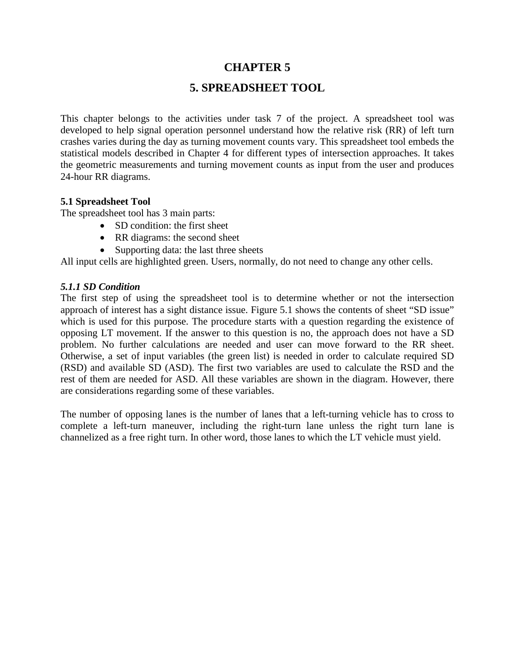## **CHAPTER 5**

# **5. SPREADSHEET TOOL**

This chapter belongs to the activities under task 7 of the project. A spreadsheet tool was developed to help signal operation personnel understand how the relative risk (RR) of left turn crashes varies during the day as turning movement counts vary. This spreadsheet tool embeds the statistical models described in Chapter 4 for different types of intersection approaches. It takes the geometric measurements and turning movement counts as input from the user and produces 24-hour RR diagrams.

#### **5.1 Spreadsheet Tool**

The spreadsheet tool has 3 main parts:

- SD condition: the first sheet
- RR diagrams: the second sheet
- Supporting data: the last three sheets

All input cells are highlighted green. Users, normally, do not need to change any other cells.

### *5.1.1 SD Condition*

The first step of using the spreadsheet tool is to determine whether or not the intersection approach of interest has a sight distance issue. Figure 5.1 shows the contents of sheet "SD issue" which is used for this purpose. The procedure starts with a question regarding the existence of opposing LT movement. If the answer to this question is no, the approach does not have a SD problem. No further calculations are needed and user can move forward to the RR sheet. Otherwise, a set of input variables (the green list) is needed in order to calculate required SD (RSD) and available SD (ASD). The first two variables are used to calculate the RSD and the rest of them are needed for ASD. All these variables are shown in the diagram. However, there are considerations regarding some of these variables.

The number of opposing lanes is the number of lanes that a left-turning vehicle has to cross to complete a left-turn maneuver, including the right-turn lane unless the right turn lane is channelized as a free right turn. In other word, those lanes to which the LT vehicle must yield.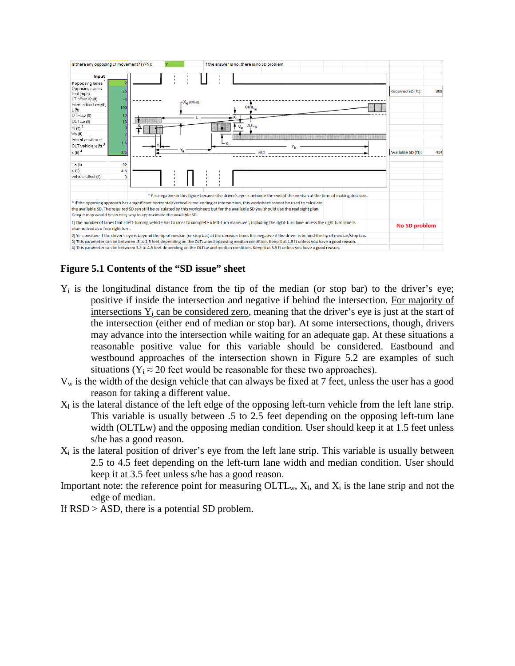

### **Figure 5.1 Contents of the "SD issue" sheet**

- $Y_i$  is the longitudinal distance from the tip of the median (or stop bar) to the driver's eye; positive if inside the intersection and negative if behind the intersection. For majority of intersections  $Y_i$  can be considered zero, meaning that the driver's eye is just at the start of the intersection (either end of median or stop bar). At some intersections, though, drivers may advance into the intersection while waiting for an adequate gap. At these situations a reasonable positive value for this variable should be considered. Eastbound and westbound approaches of the intersection shown in Figure 5.2 are examples of such situations ( $Y_i \approx 20$  feet would be reasonable for these two approaches).
- $V_w$  is the width of the design vehicle that can always be fixed at 7 feet, unless the user has a good reason for taking a different value.
- $X_1$  is the lateral distance of the left edge of the opposing left-turn vehicle from the left lane strip. This variable is usually between .5 to 2.5 feet depending on the opposing left-turn lane width (OLTLw) and the opposing median condition. User should keep it at 1.5 feet unless s/he has a good reason.
- $X_i$  is the lateral position of driver's eye from the left lane strip. This variable is usually between 2.5 to 4.5 feet depending on the left-turn lane width and median condition. User should keep it at 3.5 feet unless s/he has a good reason.
- Important note: the reference point for measuring  $\text{OLTL}_w$ ,  $X_l$ , and  $X_i$  is the lane strip and not the edge of median.
- If RSD > ASD, there is a potential SD problem.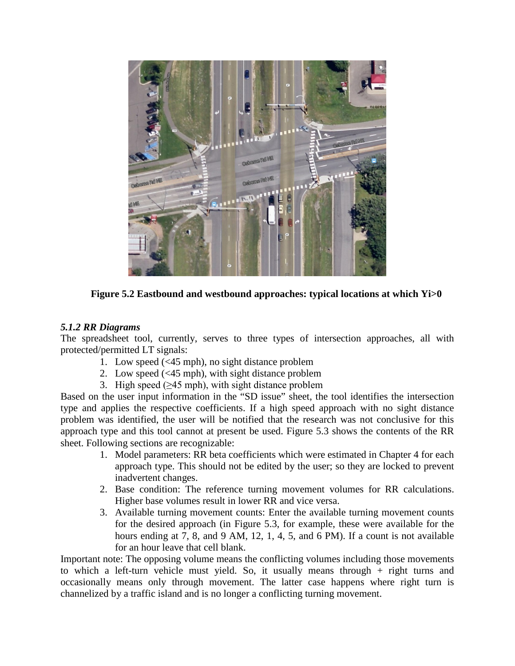

**Figure 5.2 Eastbound and westbound approaches: typical locations at which Yi>0**

### *5.1.2 RR Diagrams*

The spreadsheet tool, currently, serves to three types of intersection approaches, all with protected/permitted LT signals:

- 1. Low speed (<45 mph), no sight distance problem
- 2. Low speed (<45 mph), with sight distance problem
- 3. High speed  $(\geq 45 \text{ mph})$ , with sight distance problem

Based on the user input information in the "SD issue" sheet, the tool identifies the intersection type and applies the respective coefficients. If a high speed approach with no sight distance problem was identified, the user will be notified that the research was not conclusive for this approach type and this tool cannot at present be used. Figure 5.3 shows the contents of the RR sheet. Following sections are recognizable:

- 1. Model parameters: RR beta coefficients which were estimated in Chapter 4 for each approach type. This should not be edited by the user; so they are locked to prevent inadvertent changes.
- 2. Base condition: The reference turning movement volumes for RR calculations. Higher base volumes result in lower RR and vice versa.
- 3. Available turning movement counts: Enter the available turning movement counts for the desired approach (in Figure 5.3, for example, these were available for the hours ending at 7, 8, and 9 AM, 12, 1, 4, 5, and 6 PM). If a count is not available for an hour leave that cell blank.

Important note: The opposing volume means the conflicting volumes including those movements to which a left-turn vehicle must yield. So, it usually means through + right turns and occasionally means only through movement. The latter case happens where right turn is channelized by a traffic island and is no longer a conflicting turning movement.